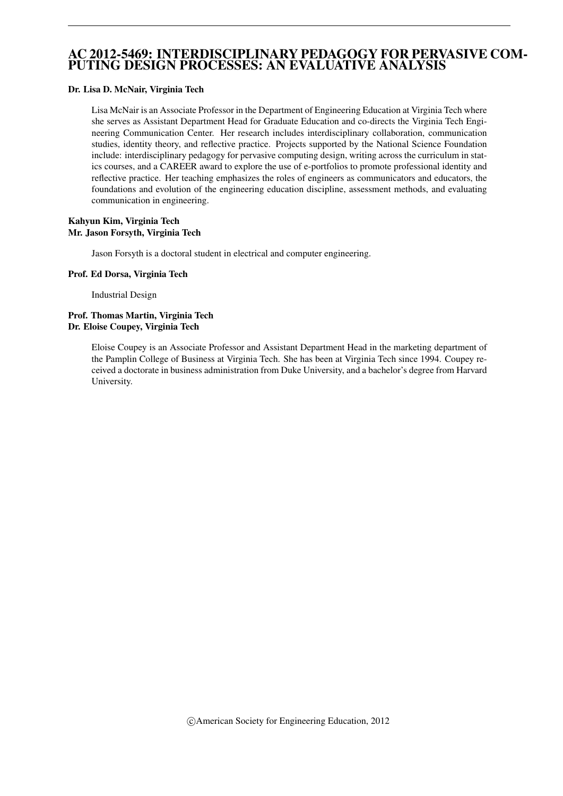### AC 2012-5469: INTERDISCIPLINARY PEDAGOGY FOR PERVASIVE COM-PUTING DESIGN PROCESSES: AN EVALUATIVE ANALYSIS

#### Dr. Lisa D. McNair, Virginia Tech

Lisa McNair is an Associate Professor in the Department of Engineering Education at Virginia Tech where she serves as Assistant Department Head for Graduate Education and co-directs the Virginia Tech Engineering Communication Center. Her research includes interdisciplinary collaboration, communication studies, identity theory, and reflective practice. Projects supported by the National Science Foundation include: interdisciplinary pedagogy for pervasive computing design, writing across the curriculum in statics courses, and a CAREER award to explore the use of e-portfolios to promote professional identity and reflective practice. Her teaching emphasizes the roles of engineers as communicators and educators, the foundations and evolution of the engineering education discipline, assessment methods, and evaluating communication in engineering.

#### Kahyun Kim, Virginia Tech Mr. Jason Forsyth, Virginia Tech

Jason Forsyth is a doctoral student in electrical and computer engineering.

#### Prof. Ed Dorsa, Virginia Tech

Industrial Design

#### Prof. Thomas Martin, Virginia Tech Dr. Eloise Coupey, Virginia Tech

Eloise Coupey is an Associate Professor and Assistant Department Head in the marketing department of the Pamplin College of Business at Virginia Tech. She has been at Virginia Tech since 1994. Coupey received a doctorate in business administration from Duke University, and a bachelor's degree from Harvard University.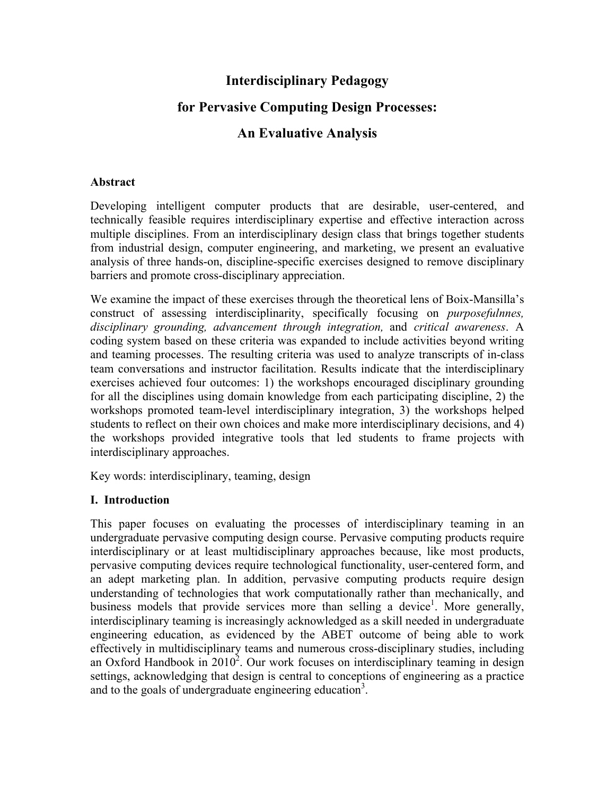# **Interdisciplinary Pedagogy**

# **for Pervasive Computing Design Processes:**

## **An Evaluative Analysis**

#### **Abstract**

Developing intelligent computer products that are desirable, user-centered, and technically feasible requires interdisciplinary expertise and effective interaction across multiple disciplines. From an interdisciplinary design class that brings together students from industrial design, computer engineering, and marketing, we present an evaluative analysis of three hands-on, discipline-specific exercises designed to remove disciplinary barriers and promote cross-disciplinary appreciation.

We examine the impact of these exercises through the theoretical lens of Boix-Mansilla's construct of assessing interdisciplinarity, specifically focusing on *purposefulnnes, disciplinary grounding, advancement through integration,* and *critical awareness*. A coding system based on these criteria was expanded to include activities beyond writing and teaming processes. The resulting criteria was used to analyze transcripts of in-class team conversations and instructor facilitation. Results indicate that the interdisciplinary exercises achieved four outcomes: 1) the workshops encouraged disciplinary grounding for all the disciplines using domain knowledge from each participating discipline, 2) the workshops promoted team-level interdisciplinary integration, 3) the workshops helped students to reflect on their own choices and make more interdisciplinary decisions, and 4) the workshops provided integrative tools that led students to frame projects with interdisciplinary approaches.

Key words: interdisciplinary, teaming, design

#### **I. Introduction**

This paper focuses on evaluating the processes of interdisciplinary teaming in an undergraduate pervasive computing design course. Pervasive computing products require interdisciplinary or at least multidisciplinary approaches because, like most products, pervasive computing devices require technological functionality, user-centered form, and an adept marketing plan. In addition, pervasive computing products require design understanding of technologies that work computationally rather than mechanically, and business models that provide services more than selling a device<sup>1</sup>. More generally, interdisciplinary teaming is increasingly acknowledged as a skill needed in undergraduate engineering education, as evidenced by the ABET outcome of being able to work effectively in multidisciplinary teams and numerous cross-disciplinary studies, including an Oxford Handbook in  $2010^2$ . Our work focuses on interdisciplinary teaming in design settings, acknowledging that design is central to conceptions of engineering as a practice and to the goals of undergraduate engineering education<sup>3</sup>.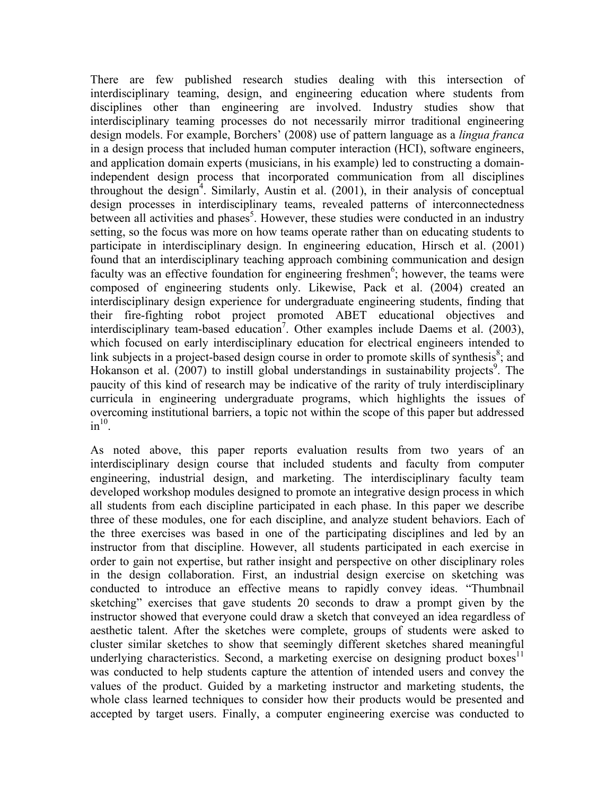There are few published research studies dealing with this intersection of interdisciplinary teaming, design, and engineering education where students from disciplines other than engineering are involved. Industry studies show that interdisciplinary teaming processes do not necessarily mirror traditional engineering design models. For example, Borchers' (2008) use of pattern language as a *lingua franca*  in a design process that included human computer interaction (HCI), software engineers, and application domain experts (musicians, in his example) led to constructing a domainindependent design process that incorporated communication from all disciplines throughout the design<sup>4</sup>. Similarly, Austin et al.  $(2001)$ , in their analysis of conceptual design processes in interdisciplinary teams, revealed patterns of interconnectedness between all activities and phases<sup>5</sup>. However, these studies were conducted in an industry setting, so the focus was more on how teams operate rather than on educating students to participate in interdisciplinary design. In engineering education, Hirsch et al. (2001) found that an interdisciplinary teaching approach combining communication and design faculty was an effective foundation for engineering freshmen<sup>6</sup>; however, the teams were composed of engineering students only. Likewise, Pack et al. (2004) created an interdisciplinary design experience for undergraduate engineering students, finding that their fire-fighting robot project promoted ABET educational objectives and interdisciplinary team-based education<sup>7</sup>. Other examples include Daems et al. (2003), which focused on early interdisciplinary education for electrical engineers intended to link subjects in a project-based design course in order to promote skills of synthesis $\delta$ ; and Hokanson et al. (2007) to instill global understandings in sustainability projects<sup>9</sup>. The paucity of this kind of research may be indicative of the rarity of truly interdisciplinary curricula in engineering undergraduate programs, which highlights the issues of overcoming institutional barriers, a topic not within the scope of this paper but addressed  $in^{10}$ .

As noted above, this paper reports evaluation results from two years of an interdisciplinary design course that included students and faculty from computer engineering, industrial design, and marketing. The interdisciplinary faculty team developed workshop modules designed to promote an integrative design process in which all students from each discipline participated in each phase. In this paper we describe three of these modules, one for each discipline, and analyze student behaviors. Each of the three exercises was based in one of the participating disciplines and led by an instructor from that discipline. However, all students participated in each exercise in order to gain not expertise, but rather insight and perspective on other disciplinary roles in the design collaboration. First, an industrial design exercise on sketching was conducted to introduce an effective means to rapidly convey ideas. "Thumbnail sketching" exercises that gave students 20 seconds to draw a prompt given by the instructor showed that everyone could draw a sketch that conveyed an idea regardless of aesthetic talent. After the sketches were complete, groups of students were asked to cluster similar sketches to show that seemingly different sketches shared meaningful underlying characteristics. Second, a marketing exercise on designing product boxes<sup>11</sup> was conducted to help students capture the attention of intended users and convey the values of the product. Guided by a marketing instructor and marketing students, the whole class learned techniques to consider how their products would be presented and accepted by target users. Finally, a computer engineering exercise was conducted to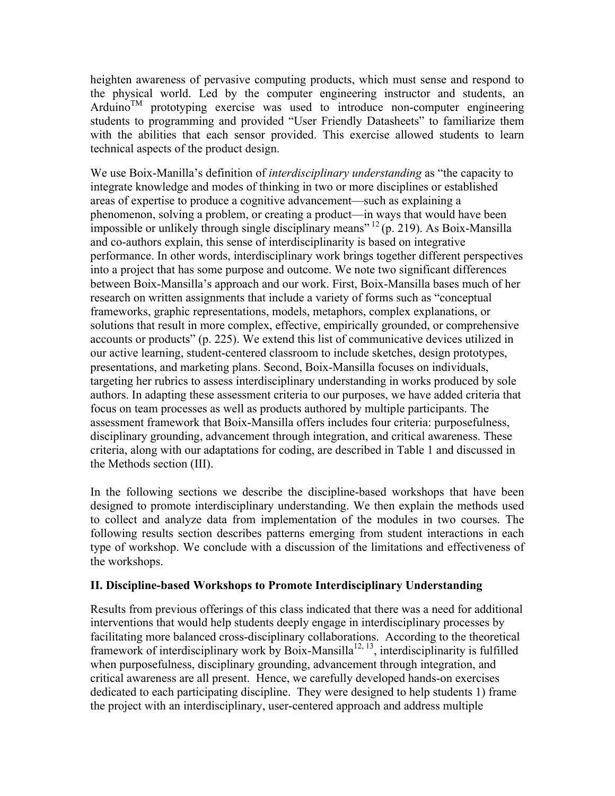heighten awareness of pervasive computing products, which must sense and respond to the physical world. Led by the computer engineering instructor and students, an Arduino<sup>TM</sup> prototyping exercise was used to introduce non-computer engineering students to programming and provided "User Friendly Datasheets" to familiarize them with the abilities that each sensor provided. This exercise allowed students to learn technical aspects of the product design.

We use Boix-Manilla's definition of *interdisciplinary understanding* as "the capacity to integrate knowledge and modes of thinking in two or more disciplines or established areas of expertise to produce a cognitive advancement—such as explaining a phenomenon, solving a problem, or creating a product—in ways that would have been impossible or unlikely through single disciplinary means"  $^{12}$  (p. 219). As Boix-Mansilla and co-authors explain, this sense of interdisciplinarity is based on integrative performance. In other words, interdisciplinary work brings together different perspectives into a project that has some purpose and outcome. We note two significant differences between Boix-Mansilla's approach and our work. First, Boix-Mansilla bases much of her research on written assignments that include a variety of forms such as "conceptual frameworks, graphic representations, models, metaphors, complex explanations, or solutions that result in more complex, effective, empirically grounded, or comprehensive accounts or products" (p. 225). We extend this list of communicative devices utilized in our active learning, student-centered classroom to include sketches, design prototypes, presentations, and marketing plans. Second, Boix-Mansilla focuses on individuals, targeting her rubrics to assess interdisciplinary understanding in works produced by sole authors. In adapting these assessment criteria to our purposes, we have added criteria that focus on team processes as well as products authored by multiple participants. The assessment framework that Boix-Mansilla offers includes four criteria: purposefulness, disciplinary grounding, advancement through integration, and critical awareness. These criteria, along with our adaptations for coding, are described in Table 1 and discussed in the Methods section (III).

In the following sections we describe the discipline-based workshops that have been designed to promote interdisciplinary understanding. We then explain the methods used to collect and analyze data from implementation of the modules in two courses. The following results section describes patterns emerging from student interactions in each type of workshop. We conclude with a discussion of the limitations and effectiveness of the workshops.

#### **II. Discipline-based Workshops to Promote Interdisciplinary Understanding**

Results from previous offerings of this class indicated that there was a need for additional interventions that would help students deeply engage in interdisciplinary processes by facilitating more balanced cross-disciplinary collaborations. According to the theoretical framework of interdisciplinary work by Boix-Mansilla<sup>12, 13</sup>, interdisciplinarity is fulfilled when purposefulness, disciplinary grounding, advancement through integration, and critical awareness are all present. Hence, we carefully developed hands-on exercises dedicated to each participating discipline. They were designed to help students 1) frame the project with an interdisciplinary, user-centered approach and address multiple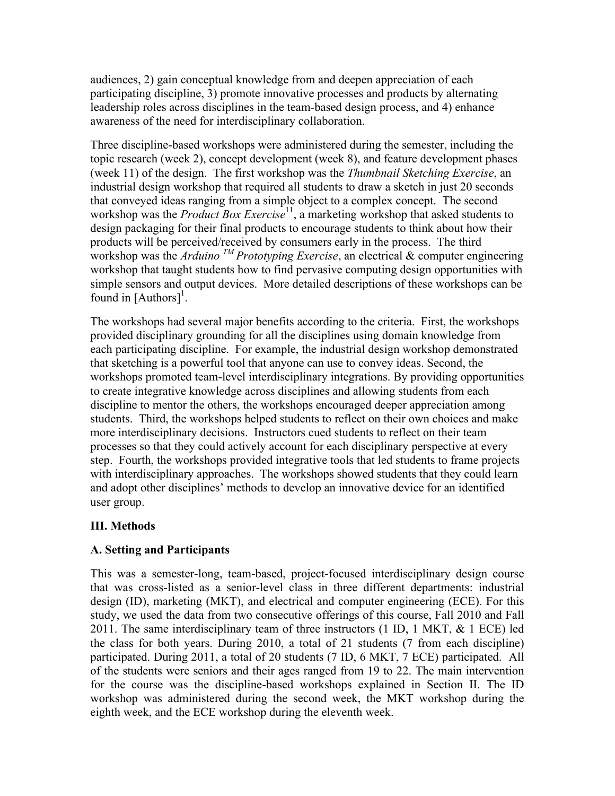audiences, 2) gain conceptual knowledge from and deepen appreciation of each participating discipline, 3) promote innovative processes and products by alternating leadership roles across disciplines in the team-based design process, and 4) enhance awareness of the need for interdisciplinary collaboration.

Three discipline-based workshops were administered during the semester, including the topic research (week 2), concept development (week 8), and feature development phases (week 11) of the design. The first workshop was the *Thumbnail Sketching Exercise*, an industrial design workshop that required all students to draw a sketch in just 20 seconds that conveyed ideas ranging from a simple object to a complex concept. The second workshop was the *Product Box Exercise*<sup>11</sup>, a marketing workshop that asked students to design packaging for their final products to encourage students to think about how their products will be perceived/received by consumers early in the process. The third workshop was the *Arduino TM Prototyping Exercise*, an electrical & computer engineering workshop that taught students how to find pervasive computing design opportunities with simple sensors and output devices. More detailed descriptions of these workshops can be found in  $[Authors]$ <sup>1</sup>.

The workshops had several major benefits according to the criteria. First, the workshops provided disciplinary grounding for all the disciplines using domain knowledge from each participating discipline. For example, the industrial design workshop demonstrated that sketching is a powerful tool that anyone can use to convey ideas. Second, the workshops promoted team-level interdisciplinary integrations. By providing opportunities to create integrative knowledge across disciplines and allowing students from each discipline to mentor the others, the workshops encouraged deeper appreciation among students. Third, the workshops helped students to reflect on their own choices and make more interdisciplinary decisions. Instructors cued students to reflect on their team processes so that they could actively account for each disciplinary perspective at every step. Fourth, the workshops provided integrative tools that led students to frame projects with interdisciplinary approaches. The workshops showed students that they could learn and adopt other disciplines' methods to develop an innovative device for an identified user group.

## **III. Methods**

## **A. Setting and Participants**

This was a semester-long, team-based, project-focused interdisciplinary design course that was cross-listed as a senior-level class in three different departments: industrial design (ID), marketing (MKT), and electrical and computer engineering (ECE). For this study, we used the data from two consecutive offerings of this course, Fall 2010 and Fall 2011. The same interdisciplinary team of three instructors  $(1 \text{ ID}, 1 \text{ MKT}, \& 1 \text{ ECE})$  led the class for both years. During 2010, a total of 21 students (7 from each discipline) participated. During 2011, a total of 20 students (7 ID, 6 MKT, 7 ECE) participated. All of the students were seniors and their ages ranged from 19 to 22. The main intervention for the course was the discipline-based workshops explained in Section II. The ID workshop was administered during the second week, the MKT workshop during the eighth week, and the ECE workshop during the eleventh week.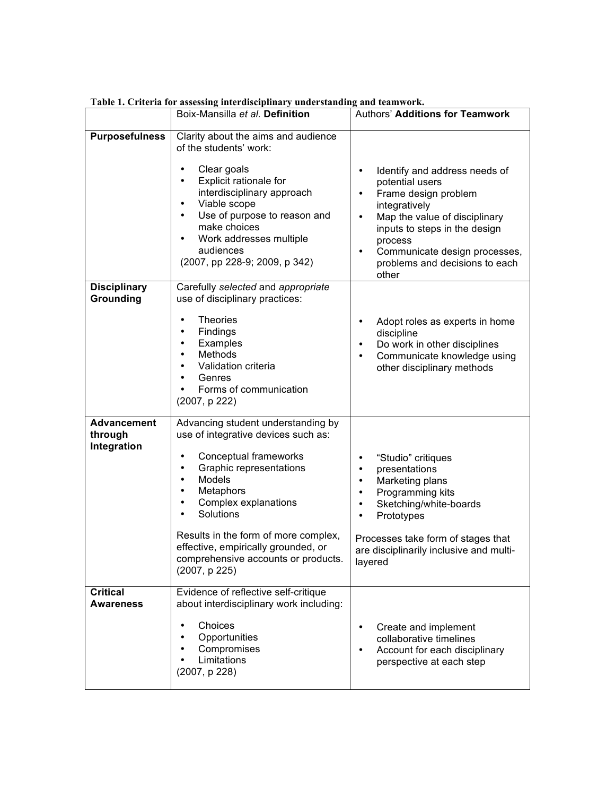|                                              | Boix-Mansilla et al. Definition                                                                                                                                                                                                                                                                                                                                                                                | <b>Authors' Additions for Teamwork</b>                                                                                                                                                                                                                                                                 |
|----------------------------------------------|----------------------------------------------------------------------------------------------------------------------------------------------------------------------------------------------------------------------------------------------------------------------------------------------------------------------------------------------------------------------------------------------------------------|--------------------------------------------------------------------------------------------------------------------------------------------------------------------------------------------------------------------------------------------------------------------------------------------------------|
| <b>Purposefulness</b>                        | Clarity about the aims and audience<br>of the students' work:                                                                                                                                                                                                                                                                                                                                                  |                                                                                                                                                                                                                                                                                                        |
|                                              | Clear goals<br>$\bullet$<br>Explicit rationale for<br>$\bullet$<br>interdisciplinary approach<br>Viable scope<br>$\bullet$<br>Use of purpose to reason and<br>$\bullet$<br>make choices<br>Work addresses multiple<br>$\bullet$<br>audiences<br>(2007, pp 228-9; 2009, p 342)                                                                                                                                  | Identify and address needs of<br>$\bullet$<br>potential users<br>Frame design problem<br>$\bullet$<br>integratively<br>Map the value of disciplinary<br>$\bullet$<br>inputs to steps in the design<br>process<br>Communicate design processes,<br>$\bullet$<br>problems and decisions to each<br>other |
| <b>Disciplinary</b><br>Grounding             | Carefully selected and appropriate<br>use of disciplinary practices:                                                                                                                                                                                                                                                                                                                                           |                                                                                                                                                                                                                                                                                                        |
|                                              | <b>Theories</b><br>$\bullet$<br>Findings<br>$\bullet$<br>Examples<br>$\bullet$<br>Methods<br>$\bullet$<br>Validation criteria<br>Genres<br>$\bullet$<br>Forms of communication<br>(2007, p 222)                                                                                                                                                                                                                | Adopt roles as experts in home<br>$\bullet$<br>discipline<br>Do work in other disciplines<br>$\bullet$<br>Communicate knowledge using<br>$\bullet$<br>other disciplinary methods                                                                                                                       |
| <b>Advancement</b><br>through<br>Integration | Advancing student understanding by<br>use of integrative devices such as:<br>Conceptual frameworks<br>$\bullet$<br>Graphic representations<br>$\bullet$<br>Models<br>$\bullet$<br>Metaphors<br>$\bullet$<br>Complex explanations<br>$\bullet$<br>Solutions<br>$\bullet$<br>Results in the form of more complex,<br>effective, empirically grounded, or<br>comprehensive accounts or products.<br>(2007, p 225) | "Studio" critiques<br>$\bullet$<br>presentations<br>$\bullet$<br>Marketing plans<br>$\bullet$<br>Programming kits<br>٠<br>Sketching/white-boards<br>$\bullet$<br>Prototypes<br>$\bullet$<br>Processes take form of stages that<br>are disciplinarily inclusive and multi-<br>layered                   |
| <b>Critical</b><br><b>Awareness</b>          | Evidence of reflective self-critique<br>about interdisciplinary work including:                                                                                                                                                                                                                                                                                                                                |                                                                                                                                                                                                                                                                                                        |
|                                              | Choices<br>$\bullet$<br>Opportunities<br>Compromises<br>Limitations<br>(2007, p 228)                                                                                                                                                                                                                                                                                                                           | Create and implement<br>$\bullet$<br>collaborative timelines<br>Account for each disciplinary<br>perspective at each step                                                                                                                                                                              |

**Table 1. Criteria for assessing interdisciplinary understanding and teamwork.**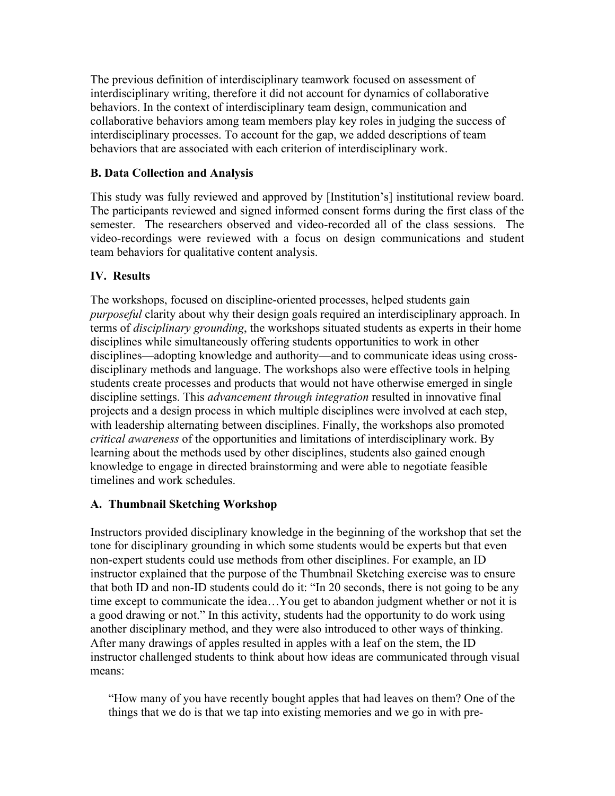The previous definition of interdisciplinary teamwork focused on assessment of interdisciplinary writing, therefore it did not account for dynamics of collaborative behaviors. In the context of interdisciplinary team design, communication and collaborative behaviors among team members play key roles in judging the success of interdisciplinary processes. To account for the gap, we added descriptions of team behaviors that are associated with each criterion of interdisciplinary work.

### **B. Data Collection and Analysis**

This study was fully reviewed and approved by [Institution's] institutional review board. The participants reviewed and signed informed consent forms during the first class of the semester. The researchers observed and video-recorded all of the class sessions. The video-recordings were reviewed with a focus on design communications and student team behaviors for qualitative content analysis.

## **IV. Results**

The workshops, focused on discipline-oriented processes, helped students gain *purposeful* clarity about why their design goals required an interdisciplinary approach. In terms of *disciplinary grounding*, the workshops situated students as experts in their home disciplines while simultaneously offering students opportunities to work in other disciplines—adopting knowledge and authority—and to communicate ideas using crossdisciplinary methods and language. The workshops also were effective tools in helping students create processes and products that would not have otherwise emerged in single discipline settings. This *advancement through integration* resulted in innovative final projects and a design process in which multiple disciplines were involved at each step, with leadership alternating between disciplines. Finally, the workshops also promoted *critical awareness* of the opportunities and limitations of interdisciplinary work. By learning about the methods used by other disciplines, students also gained enough knowledge to engage in directed brainstorming and were able to negotiate feasible timelines and work schedules.

## **A. Thumbnail Sketching Workshop**

Instructors provided disciplinary knowledge in the beginning of the workshop that set the tone for disciplinary grounding in which some students would be experts but that even non-expert students could use methods from other disciplines. For example, an ID instructor explained that the purpose of the Thumbnail Sketching exercise was to ensure that both ID and non-ID students could do it: "In 20 seconds, there is not going to be any time except to communicate the idea…You get to abandon judgment whether or not it is a good drawing or not." In this activity, students had the opportunity to do work using another disciplinary method, and they were also introduced to other ways of thinking. After many drawings of apples resulted in apples with a leaf on the stem, the ID instructor challenged students to think about how ideas are communicated through visual means:

"How many of you have recently bought apples that had leaves on them? One of the things that we do is that we tap into existing memories and we go in with pre-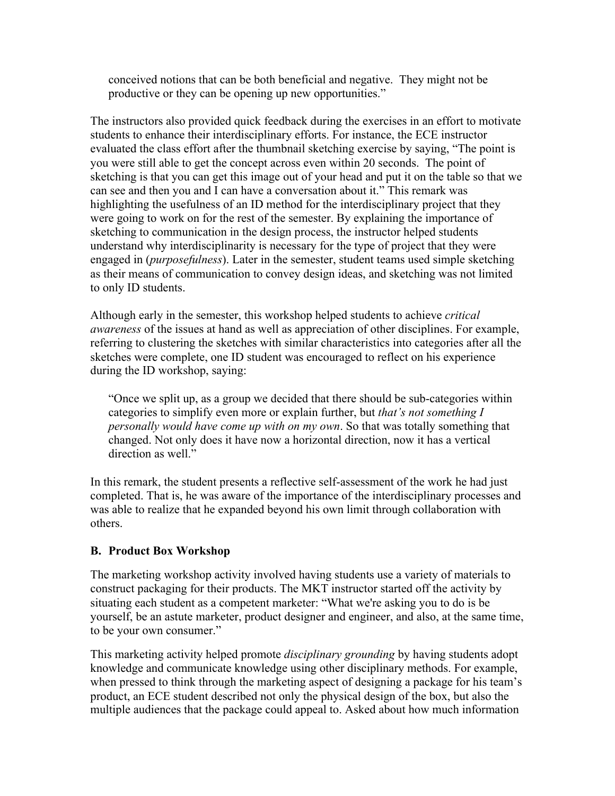conceived notions that can be both beneficial and negative. They might not be productive or they can be opening up new opportunities."

The instructors also provided quick feedback during the exercises in an effort to motivate students to enhance their interdisciplinary efforts. For instance, the ECE instructor evaluated the class effort after the thumbnail sketching exercise by saying, "The point is you were still able to get the concept across even within 20 seconds. The point of sketching is that you can get this image out of your head and put it on the table so that we can see and then you and I can have a conversation about it." This remark was highlighting the usefulness of an ID method for the interdisciplinary project that they were going to work on for the rest of the semester. By explaining the importance of sketching to communication in the design process, the instructor helped students understand why interdisciplinarity is necessary for the type of project that they were engaged in (*purposefulness*). Later in the semester, student teams used simple sketching as their means of communication to convey design ideas, and sketching was not limited to only ID students.

Although early in the semester, this workshop helped students to achieve *critical awareness* of the issues at hand as well as appreciation of other disciplines. For example, referring to clustering the sketches with similar characteristics into categories after all the sketches were complete, one ID student was encouraged to reflect on his experience during the ID workshop, saying:

"Once we split up, as a group we decided that there should be sub-categories within categories to simplify even more or explain further, but *that's not something I personally would have come up with on my own*. So that was totally something that changed. Not only does it have now a horizontal direction, now it has a vertical direction as well."

In this remark, the student presents a reflective self-assessment of the work he had just completed. That is, he was aware of the importance of the interdisciplinary processes and was able to realize that he expanded beyond his own limit through collaboration with others.

### **B. Product Box Workshop**

The marketing workshop activity involved having students use a variety of materials to construct packaging for their products. The MKT instructor started off the activity by situating each student as a competent marketer: "What we're asking you to do is be yourself, be an astute marketer, product designer and engineer, and also, at the same time, to be your own consumer."

This marketing activity helped promote *disciplinary grounding* by having students adopt knowledge and communicate knowledge using other disciplinary methods. For example, when pressed to think through the marketing aspect of designing a package for his team's product, an ECE student described not only the physical design of the box, but also the multiple audiences that the package could appeal to. Asked about how much information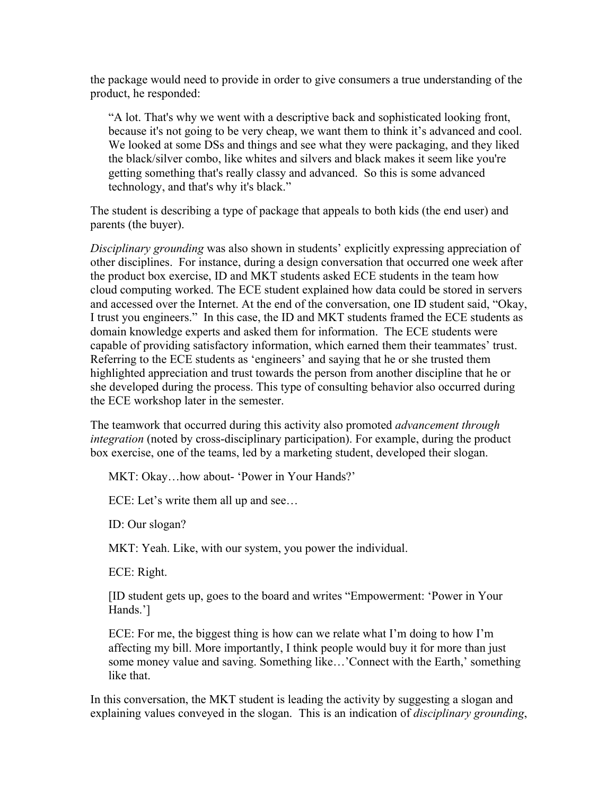the package would need to provide in order to give consumers a true understanding of the product, he responded:

"A lot. That's why we went with a descriptive back and sophisticated looking front, because it's not going to be very cheap, we want them to think it's advanced and cool. We looked at some DSs and things and see what they were packaging, and they liked the black/silver combo, like whites and silvers and black makes it seem like you're getting something that's really classy and advanced. So this is some advanced technology, and that's why it's black."

The student is describing a type of package that appeals to both kids (the end user) and parents (the buyer).

*Disciplinary grounding* was also shown in students' explicitly expressing appreciation of other disciplines. For instance, during a design conversation that occurred one week after the product box exercise, ID and MKT students asked ECE students in the team how cloud computing worked. The ECE student explained how data could be stored in servers and accessed over the Internet. At the end of the conversation, one ID student said, "Okay, I trust you engineers." In this case, the ID and MKT students framed the ECE students as domain knowledge experts and asked them for information. The ECE students were capable of providing satisfactory information, which earned them their teammates' trust. Referring to the ECE students as 'engineers' and saying that he or she trusted them highlighted appreciation and trust towards the person from another discipline that he or she developed during the process. This type of consulting behavior also occurred during the ECE workshop later in the semester.

The teamwork that occurred during this activity also promoted *advancement through integration* (noted by cross-disciplinary participation). For example, during the product box exercise, one of the teams, led by a marketing student, developed their slogan.

MKT: Okay…how about- 'Power in Your Hands?'

ECE: Let's write them all up and see…

ID: Our slogan?

MKT: Yeah. Like, with our system, you power the individual.

ECE: Right.

[ID student gets up, goes to the board and writes "Empowerment: 'Power in Your Hands.']

ECE: For me, the biggest thing is how can we relate what I'm doing to how I'm affecting my bill. More importantly, I think people would buy it for more than just some money value and saving. Something like…'Connect with the Earth,' something like that.

In this conversation, the MKT student is leading the activity by suggesting a slogan and explaining values conveyed in the slogan. This is an indication of *disciplinary grounding*,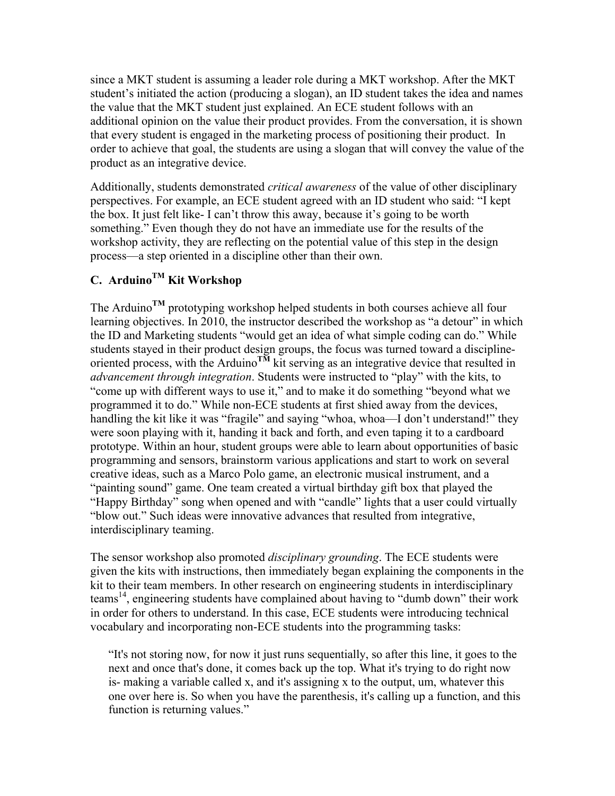since a MKT student is assuming a leader role during a MKT workshop. After the MKT student's initiated the action (producing a slogan), an ID student takes the idea and names the value that the MKT student just explained. An ECE student follows with an additional opinion on the value their product provides. From the conversation, it is shown that every student is engaged in the marketing process of positioning their product. In order to achieve that goal, the students are using a slogan that will convey the value of the product as an integrative device.

Additionally, students demonstrated *critical awareness* of the value of other disciplinary perspectives. For example, an ECE student agreed with an ID student who said: "I kept the box. It just felt like- I can't throw this away, because it's going to be worth something." Even though they do not have an immediate use for the results of the workshop activity, they are reflecting on the potential value of this step in the design process—a step oriented in a discipline other than their own.

# **C. ArduinoTM Kit Workshop**

The Arduino**TM** prototyping workshop helped students in both courses achieve all four learning objectives. In 2010, the instructor described the workshop as "a detour" in which the ID and Marketing students "would get an idea of what simple coding can do." While students stayed in their product design groups, the focus was turned toward a disciplineoriented process, with the Arduino<sup>TM</sup> kit serving as an integrative device that resulted in *advancement through integration*. Students were instructed to "play" with the kits, to "come up with different ways to use it," and to make it do something "beyond what we programmed it to do." While non-ECE students at first shied away from the devices, handling the kit like it was "fragile" and saying "whoa, whoa—I don't understand!" they were soon playing with it, handing it back and forth, and even taping it to a cardboard prototype. Within an hour, student groups were able to learn about opportunities of basic programming and sensors, brainstorm various applications and start to work on several creative ideas, such as a Marco Polo game, an electronic musical instrument, and a "painting sound" game. One team created a virtual birthday gift box that played the "Happy Birthday" song when opened and with "candle" lights that a user could virtually "blow out." Such ideas were innovative advances that resulted from integrative, interdisciplinary teaming.

The sensor workshop also promoted *disciplinary grounding*. The ECE students were given the kits with instructions, then immediately began explaining the components in the kit to their team members. In other research on engineering students in interdisciplinary teams14, engineering students have complained about having to "dumb down" their work in order for others to understand. In this case, ECE students were introducing technical vocabulary and incorporating non-ECE students into the programming tasks:

"It's not storing now, for now it just runs sequentially, so after this line, it goes to the next and once that's done, it comes back up the top. What it's trying to do right now is- making a variable called x, and it's assigning x to the output, um, whatever this one over here is. So when you have the parenthesis, it's calling up a function, and this function is returning values."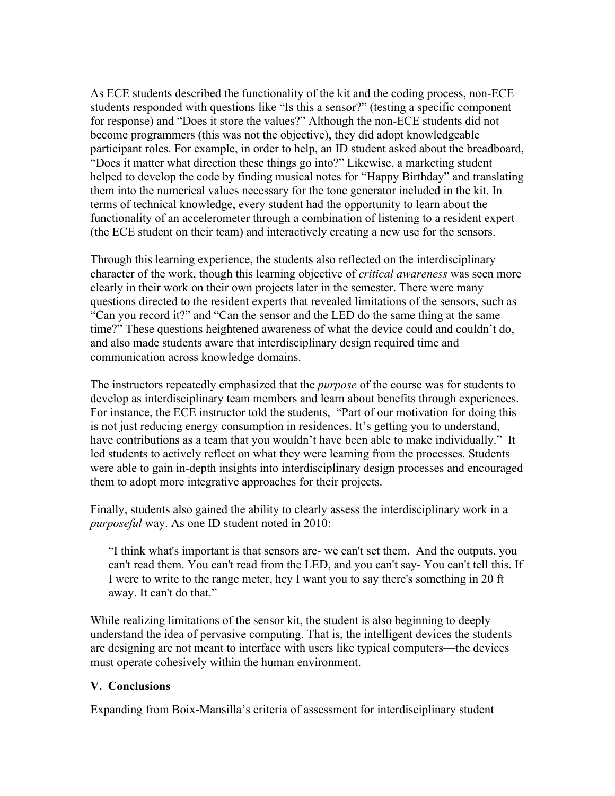As ECE students described the functionality of the kit and the coding process, non-ECE students responded with questions like "Is this a sensor?" (testing a specific component for response) and "Does it store the values?" Although the non-ECE students did not become programmers (this was not the objective), they did adopt knowledgeable participant roles. For example, in order to help, an ID student asked about the breadboard, "Does it matter what direction these things go into?" Likewise, a marketing student helped to develop the code by finding musical notes for "Happy Birthday" and translating them into the numerical values necessary for the tone generator included in the kit. In terms of technical knowledge, every student had the opportunity to learn about the functionality of an accelerometer through a combination of listening to a resident expert (the ECE student on their team) and interactively creating a new use for the sensors.

Through this learning experience, the students also reflected on the interdisciplinary character of the work, though this learning objective of *critical awareness* was seen more clearly in their work on their own projects later in the semester. There were many questions directed to the resident experts that revealed limitations of the sensors, such as "Can you record it?" and "Can the sensor and the LED do the same thing at the same time?" These questions heightened awareness of what the device could and couldn't do, and also made students aware that interdisciplinary design required time and communication across knowledge domains.

The instructors repeatedly emphasized that the *purpose* of the course was for students to develop as interdisciplinary team members and learn about benefits through experiences. For instance, the ECE instructor told the students, "Part of our motivation for doing this is not just reducing energy consumption in residences. It's getting you to understand, have contributions as a team that you wouldn't have been able to make individually." It led students to actively reflect on what they were learning from the processes. Students were able to gain in-depth insights into interdisciplinary design processes and encouraged them to adopt more integrative approaches for their projects.

Finally, students also gained the ability to clearly assess the interdisciplinary work in a *purposeful* way. As one ID student noted in 2010:

"I think what's important is that sensors are- we can't set them. And the outputs, you can't read them. You can't read from the LED, and you can't say- You can't tell this. If I were to write to the range meter, hey I want you to say there's something in 20 ft away. It can't do that."

While realizing limitations of the sensor kit, the student is also beginning to deeply understand the idea of pervasive computing. That is, the intelligent devices the students are designing are not meant to interface with users like typical computers—the devices must operate cohesively within the human environment.

### **V. Conclusions**

Expanding from Boix-Mansilla's criteria of assessment for interdisciplinary student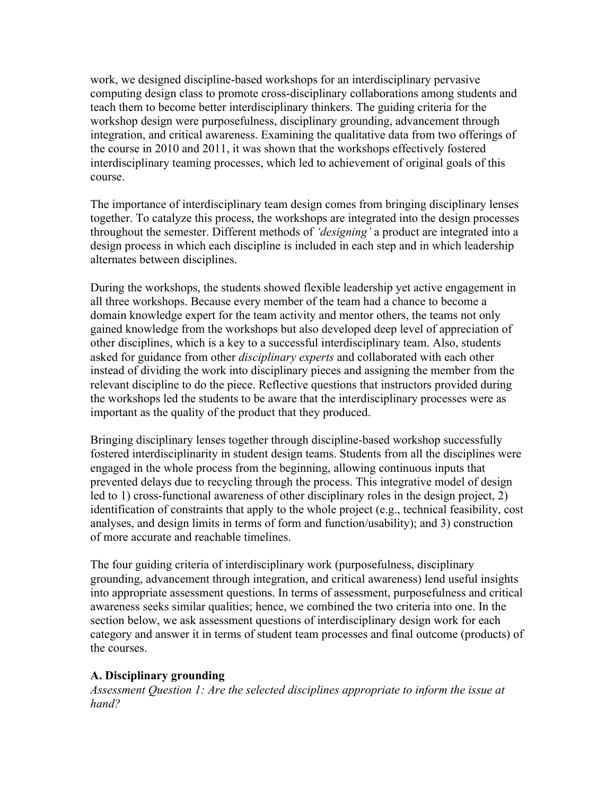work, we designed discipline-based workshops for an interdisciplinary pervasive computing design class to promote cross-disciplinary collaborations among students and teach them to become better interdisciplinary thinkers. The guiding criteria for the workshop design were purposefulness, disciplinary grounding, advancement through integration, and critical awareness. Examining the qualitative data from two offerings of the course in 2010 and 2011, it was shown that the workshops effectively fostered interdisciplinary teaming processes, which led to achievement of original goals of this course.

The importance of interdisciplinary team design comes from bringing disciplinary lenses together. To catalyze this process, the workshops are integrated into the design processes throughout the semester. Different methods of *'designing'* a product are integrated into a design process in which each discipline is included in each step and in which leadership alternates between disciplines.

During the workshops, the students showed flexible leadership yet active engagement in all three workshops. Because every member of the team had a chance to become a domain knowledge expert for the team activity and mentor others, the teams not only gained knowledge from the workshops but also developed deep level of appreciation of other disciplines, which is a key to a successful interdisciplinary team. Also, students asked for guidance from other *disciplinary experts* and collaborated with each other instead of dividing the work into disciplinary pieces and assigning the member from the relevant discipline to do the piece. Reflective questions that instructors provided during the workshops led the students to be aware that the interdisciplinary processes were as important as the quality of the product that they produced.

Bringing disciplinary lenses together through discipline-based workshop successfully fostered interdisciplinarity in student design teams. Students from all the disciplines were engaged in the whole process from the beginning, allowing continuous inputs that prevented delays due to recycling through the process. This integrative model of design led to 1) cross-functional awareness of other disciplinary roles in the design project, 2) identification of constraints that apply to the whole project (e.g., technical feasibility, cost analyses, and design limits in terms of form and function/usability); and 3) construction of more accurate and reachable timelines.

The four guiding criteria of interdisciplinary work (purposefulness, disciplinary grounding, advancement through integration, and critical awareness) lend useful insights into appropriate assessment questions. In terms of assessment, purposefulness and critical awareness seeks similar qualities; hence, we combined the two criteria into one. In the section below, we ask assessment questions of interdisciplinary design work for each category and answer it in terms of student team processes and final outcome (products) of the courses.

### **A. Disciplinary grounding**

*Assessment Question 1: Are the selected disciplines appropriate to inform the issue at hand?*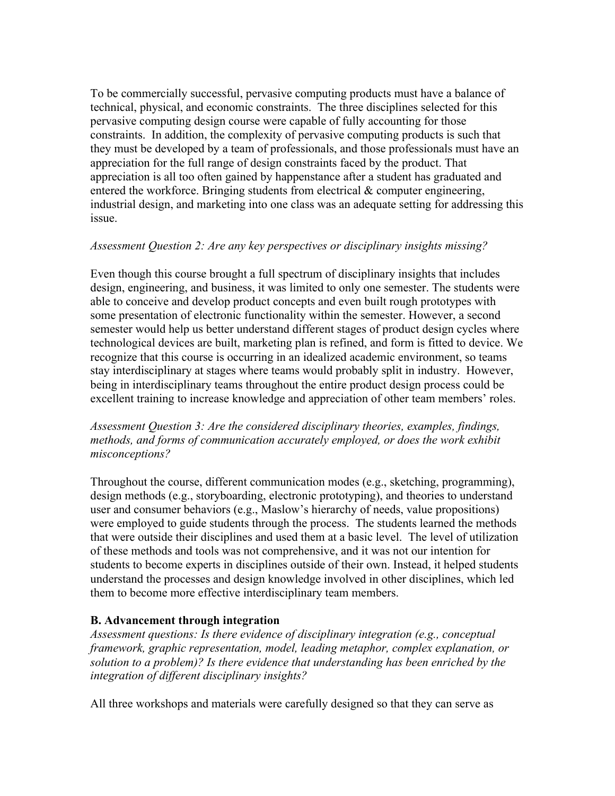To be commercially successful, pervasive computing products must have a balance of technical, physical, and economic constraints. The three disciplines selected for this pervasive computing design course were capable of fully accounting for those constraints. In addition, the complexity of pervasive computing products is such that they must be developed by a team of professionals, and those professionals must have an appreciation for the full range of design constraints faced by the product. That appreciation is all too often gained by happenstance after a student has graduated and entered the workforce. Bringing students from electrical  $\&$  computer engineering, industrial design, and marketing into one class was an adequate setting for addressing this issue.

### *Assessment Question 2: Are any key perspectives or disciplinary insights missing?*

Even though this course brought a full spectrum of disciplinary insights that includes design, engineering, and business, it was limited to only one semester. The students were able to conceive and develop product concepts and even built rough prototypes with some presentation of electronic functionality within the semester. However, a second semester would help us better understand different stages of product design cycles where technological devices are built, marketing plan is refined, and form is fitted to device. We recognize that this course is occurring in an idealized academic environment, so teams stay interdisciplinary at stages where teams would probably split in industry. However, being in interdisciplinary teams throughout the entire product design process could be excellent training to increase knowledge and appreciation of other team members' roles.

### *Assessment Question 3: Are the considered disciplinary theories, examples, findings, methods, and forms of communication accurately employed, or does the work exhibit misconceptions?*

Throughout the course, different communication modes (e.g., sketching, programming), design methods (e.g., storyboarding, electronic prototyping), and theories to understand user and consumer behaviors (e.g., Maslow's hierarchy of needs, value propositions) were employed to guide students through the process. The students learned the methods that were outside their disciplines and used them at a basic level. The level of utilization of these methods and tools was not comprehensive, and it was not our intention for students to become experts in disciplines outside of their own. Instead, it helped students understand the processes and design knowledge involved in other disciplines, which led them to become more effective interdisciplinary team members.

## **B. Advancement through integration**

*Assessment questions: Is there evidence of disciplinary integration (e.g., conceptual framework, graphic representation, model, leading metaphor, complex explanation, or solution to a problem)? Is there evidence that understanding has been enriched by the integration of different disciplinary insights?*

All three workshops and materials were carefully designed so that they can serve as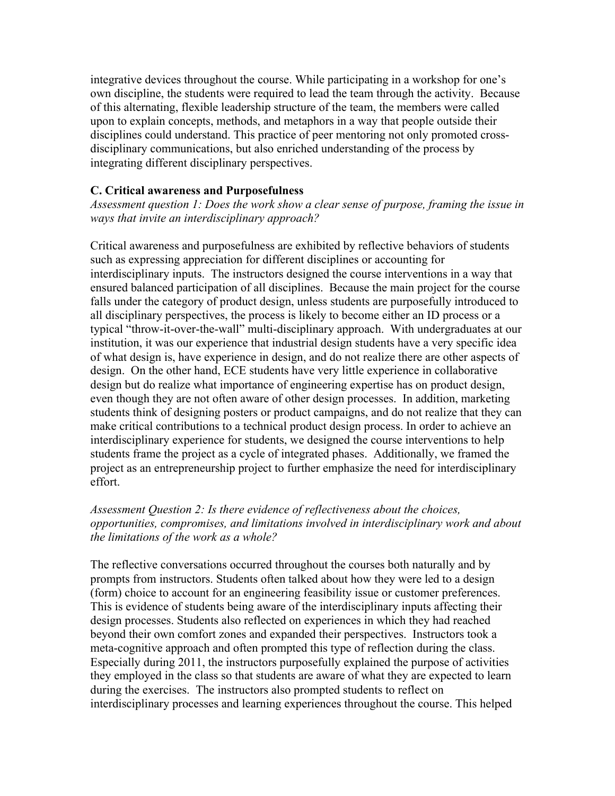integrative devices throughout the course. While participating in a workshop for one's own discipline, the students were required to lead the team through the activity. Because of this alternating, flexible leadership structure of the team, the members were called upon to explain concepts, methods, and metaphors in a way that people outside their disciplines could understand. This practice of peer mentoring not only promoted crossdisciplinary communications, but also enriched understanding of the process by integrating different disciplinary perspectives.

#### **C. Critical awareness and Purposefulness**

*Assessment question 1: Does the work show a clear sense of purpose, framing the issue in ways that invite an interdisciplinary approach?*

Critical awareness and purposefulness are exhibited by reflective behaviors of students such as expressing appreciation for different disciplines or accounting for interdisciplinary inputs. The instructors designed the course interventions in a way that ensured balanced participation of all disciplines. Because the main project for the course falls under the category of product design, unless students are purposefully introduced to all disciplinary perspectives, the process is likely to become either an ID process or a typical "throw-it-over-the-wall" multi-disciplinary approach. With undergraduates at our institution, it was our experience that industrial design students have a very specific idea of what design is, have experience in design, and do not realize there are other aspects of design. On the other hand, ECE students have very little experience in collaborative design but do realize what importance of engineering expertise has on product design, even though they are not often aware of other design processes. In addition, marketing students think of designing posters or product campaigns, and do not realize that they can make critical contributions to a technical product design process. In order to achieve an interdisciplinary experience for students, we designed the course interventions to help students frame the project as a cycle of integrated phases. Additionally, we framed the project as an entrepreneurship project to further emphasize the need for interdisciplinary effort.

#### *Assessment Question 2: Is there evidence of reflectiveness about the choices, opportunities, compromises, and limitations involved in interdisciplinary work and about the limitations of the work as a whole?*

The reflective conversations occurred throughout the courses both naturally and by prompts from instructors. Students often talked about how they were led to a design (form) choice to account for an engineering feasibility issue or customer preferences. This is evidence of students being aware of the interdisciplinary inputs affecting their design processes. Students also reflected on experiences in which they had reached beyond their own comfort zones and expanded their perspectives. Instructors took a meta-cognitive approach and often prompted this type of reflection during the class. Especially during 2011, the instructors purposefully explained the purpose of activities they employed in the class so that students are aware of what they are expected to learn during the exercises. The instructors also prompted students to reflect on interdisciplinary processes and learning experiences throughout the course. This helped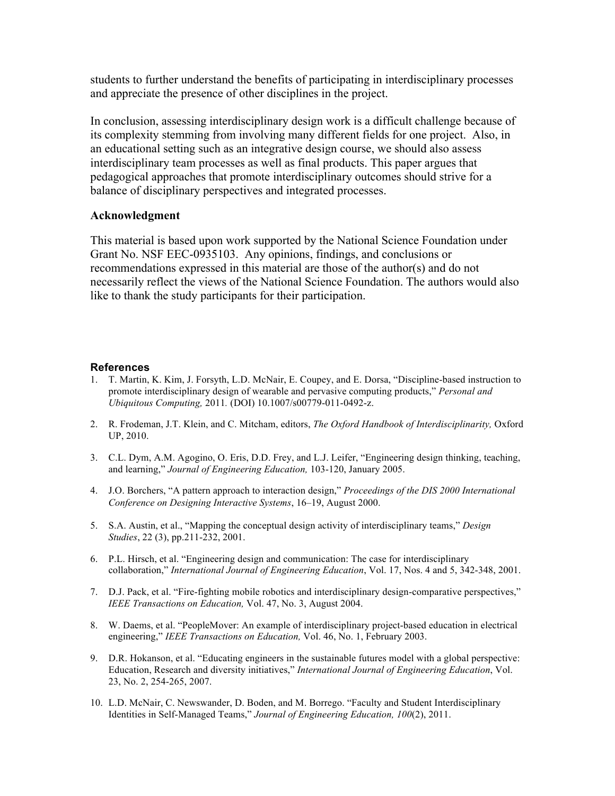students to further understand the benefits of participating in interdisciplinary processes and appreciate the presence of other disciplines in the project.

In conclusion, assessing interdisciplinary design work is a difficult challenge because of its complexity stemming from involving many different fields for one project. Also, in an educational setting such as an integrative design course, we should also assess interdisciplinary team processes as well as final products. This paper argues that pedagogical approaches that promote interdisciplinary outcomes should strive for a balance of disciplinary perspectives and integrated processes.

#### **Acknowledgment**

This material is based upon work supported by the National Science Foundation under Grant No. NSF EEC-0935103. Any opinions, findings, and conclusions or recommendations expressed in this material are those of the author(s) and do not necessarily reflect the views of the National Science Foundation. The authors would also like to thank the study participants for their participation.

#### **References**

- 1. T. Martin, K. Kim, J. Forsyth, L.D. McNair, E. Coupey, and E. Dorsa, "Discipline-based instruction to promote interdisciplinary design of wearable and pervasive computing products," *Personal and Ubiquitous Computing,* 2011*.* (DOI) 10.1007/s00779-011-0492-z.
- 2. R. Frodeman, J.T. Klein, and C. Mitcham, editors, *The Oxford Handbook of Interdisciplinarity,* Oxford UP, 2010.
- 3. C.L. Dym, A.M. Agogino, O. Eris, D.D. Frey, and L.J. Leifer, "Engineering design thinking, teaching, and learning," *Journal of Engineering Education,* 103-120, January 2005.
- 4. J.O. Borchers, "A pattern approach to interaction design," *Proceedings of the DIS 2000 International Conference on Designing Interactive Systems*, 16–19, August 2000.
- 5. S.A. Austin, et al., "Mapping the conceptual design activity of interdisciplinary teams," *Design Studies*, 22 (3), pp.211-232, 2001.
- 6. P.L. Hirsch, et al. "Engineering design and communication: The case for interdisciplinary collaboration," *International Journal of Engineering Education*, Vol. 17, Nos. 4 and 5, 342-348, 2001.
- 7. D.J. Pack, et al. "Fire-fighting mobile robotics and interdisciplinary design-comparative perspectives," *IEEE Transactions on Education,* Vol. 47, No. 3, August 2004.
- 8. W. Daems, et al. "PeopleMover: An example of interdisciplinary project-based education in electrical engineering," *IEEE Transactions on Education,* Vol. 46, No. 1, February 2003.
- 9. D.R. Hokanson, et al. "Educating engineers in the sustainable futures model with a global perspective: Education, Research and diversity initiatives," *International Journal of Engineering Education*, Vol. 23, No. 2, 254-265, 2007.
- 10. L.D. McNair, C. Newswander, D. Boden, and M. Borrego. "Faculty and Student Interdisciplinary Identities in Self-Managed Teams," *Journal of Engineering Education, 100*(2), 2011.